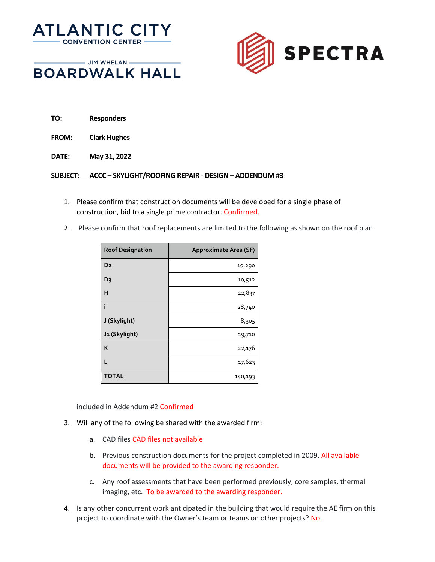



- JIM WHELAN **BOARDWALK HALL** 
	- **TO: Responders**
	- **FROM: Clark Hughes**
	- **DATE: May 31, 2022**

## **SUBJECT: ACCC – SKYLIGHT/ROOFING REPAIR - DESIGN – ADDENDUM #3**

- 1. Please confirm that construction documents will be developed for a single phase of construction, bid to a single prime contractor. Confirmed.
- 2. Please confirm that roof replacements are limited to the following as shown on the roof plan

| <b>Roof Designation</b> | Approximate Area (SF) |
|-------------------------|-----------------------|
| D <sub>2</sub>          | 10,290                |
| D <sub>3</sub>          | 10,512                |
| н                       | 22,837                |
| i                       | 28,740                |
| J (Skylight)            | 8,305                 |
| J1 (Skylight)           | 19,710                |
| K                       | 22,176                |
| L                       | 17,623                |
| <b>TOTAL</b>            | 140,193               |

included in Addendum #2 Confirmed

- 3. Will any of the following be shared with the awarded firm:
	- a. CAD files CAD files not available
	- b. Previous construction documents for the project completed in 2009. All available documents will be provided to the awarding responder.
	- c. Any roof assessments that have been performed previously, core samples, thermal imaging, etc. To be awarded to the awarding responder.
- 4. Is any other concurrent work anticipated in the building that would require the AE firm on this project to coordinate with the Owner's team or teams on other projects? No.